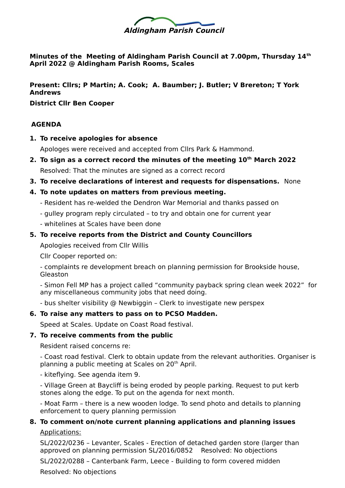

**Minutes of the Meeting of Aldingham Parish Council at 7.00pm, Thursday 14th April 2022 @ Aldingham Parish Rooms, Scales**

## **Present: Cllrs; P Martin; A. Cook; A. Baumber; J. Butler; V Brereton; T York Andrews**

**District Cllr Ben Cooper**

# **AGENDA**

**1. To receive apologies for absence**

Apologes were received and accepted from Cllrs Park & Hammond.

- **2. To sign as a correct record the minutes of the meeting 10th March 2022** Resolved: That the minutes are signed as a correct record
- **3. To receive declarations of interest and requests for dispensations.** None
- **4. To note updates on matters from previous meeting.** 
	- Resident has re-welded the Dendron War Memorial and thanks passed on
	- gulley program reply circulated to try and obtain one for current year
	- whitelines at Scales have been done
- **5. To receive reports from the District and County Councillors**

Apologies received from Cllr Willis

Cllr Cooper reported on:

- complaints re development breach on planning permission for Brookside house, Gleaston

- Simon Fell MP has a project called "community payback spring clean week 2022" for any miscellaneous community jobs that need doing.

- bus shelter visibility @ Newbiggin – Clerk to investigate new perspex

#### **6. To raise any matters to pass on to PCSO Madden.**

Speed at Scales. Update on Coast Road festival.

#### **7. To receive comments from the public**

Resident raised concerns re:

- Coast road festival. Clerk to obtain update from the relevant authorities. Organiser is planning a public meeting at Scales on 20<sup>th</sup> April.

- kiteflying. See agenda item 9.

- Village Green at Baycliff is being eroded by people parking. Request to put kerb stones along the edge. To put on the agenda for next month.

- Moat Farm – there is a new wooden lodge. To send photo and details to planning enforcement to query planning permission

# **8. To comment on/note current planning applications and planning issues** Applications:

SL/2022/0236 – Levanter, Scales - Erection of detached garden store (larger than approved on planning permission SL/2016/0852 Resolved: No objections

SL/2022/0288 – Canterbank Farm, Leece - Building to form covered midden

Resolved: No objections